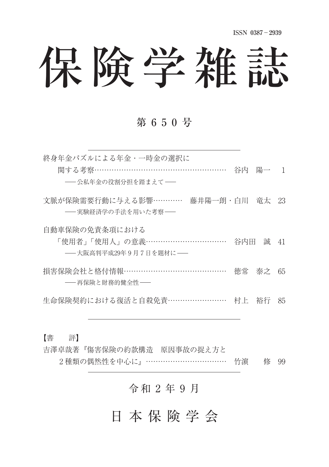# 保険学雑誌

## 第 6 5 0 号

終身年金パズルによる年金・一時金の選択に 関する老察……………………………………………… 谷内 陽一 1 ––公私年金の役割分担を踏まえて–– 文脈が保険需要行動に与える影響………… 藤井陽一朗・白川 竜太 23 -- 宝験経済学の手法を用いた老容–– 自動車保険の免責条項における 「使用者」「使用人」の意義…………………………… 谷内田 誠 41 **-- 大阪高判平成29年9月7日を題材に**– **揖害保险会社と格付情報 …………………………………… 徳常 泰之 65** ––再保除と財務的健全性–– 生命保険契約における復活と自殺免責 ……………………… 村上 裕行 85

【書 評】

吉澤卓哉著『傷害保険の約款構造 原因事故の捉え方と 2種類の偶然性を中心に』……………………………… 竹濵 修 99

## 令和 2 年 9 月

日 本 保 険 学 会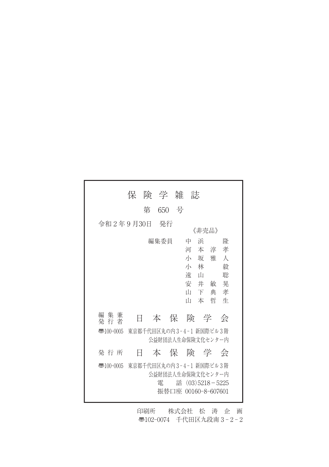|                        | 保                        | 険 学 雑 |   | 誌                                                                                |                                    |                  |
|------------------------|--------------------------|-------|---|----------------------------------------------------------------------------------|------------------------------------|------------------|
|                        | 第                        | 650   | 号 |                                                                                  |                                    |                  |
| 令和 2年 9月30日            |                          | - 発行  |   | 《非壳品》                                                                            |                                    |                  |
|                        |                          | 編集委員  |   | 浜<br>中<br>河<br>本淳<br>小坂雅<br>林<br>小<br>遠<br>– ய<br>安 井<br>Ш<br>$\top$<br>īП<br>本哲 | 孝<br>$\lambda$<br>敏<br>孝<br>典<br>牛 | 隆<br>毅<br>聡<br>晃 |
| 編 集 兼<br>発 行 者         | Ħ                        | 本保    |   | 険 学                                                                              |                                    | 会                |
| $\overline{3}100-0005$ | 東京都千代田区丸の内3-4-1 新国際ビル3階  |       |   | 公益財団法人生命保険文化センター内                                                                |                                    |                  |
| 発 行 所                  | Ħ                        |       |   | 本保険学会                                                                            |                                    |                  |
| $\overline{3}100-0005$ | 東京都千代田区丸の内 3-4-1 新国際ビル3階 | 雷     |   | 公益財団法人生命保険文化センター内<br>話 $(03)5218 - 5225$<br>振替口座 00160-8-607601                  |                                    |                  |

印刷所 株式会社 松 涛 企 画 〠102-0074 千代田区九段南 3 - 2 - 2